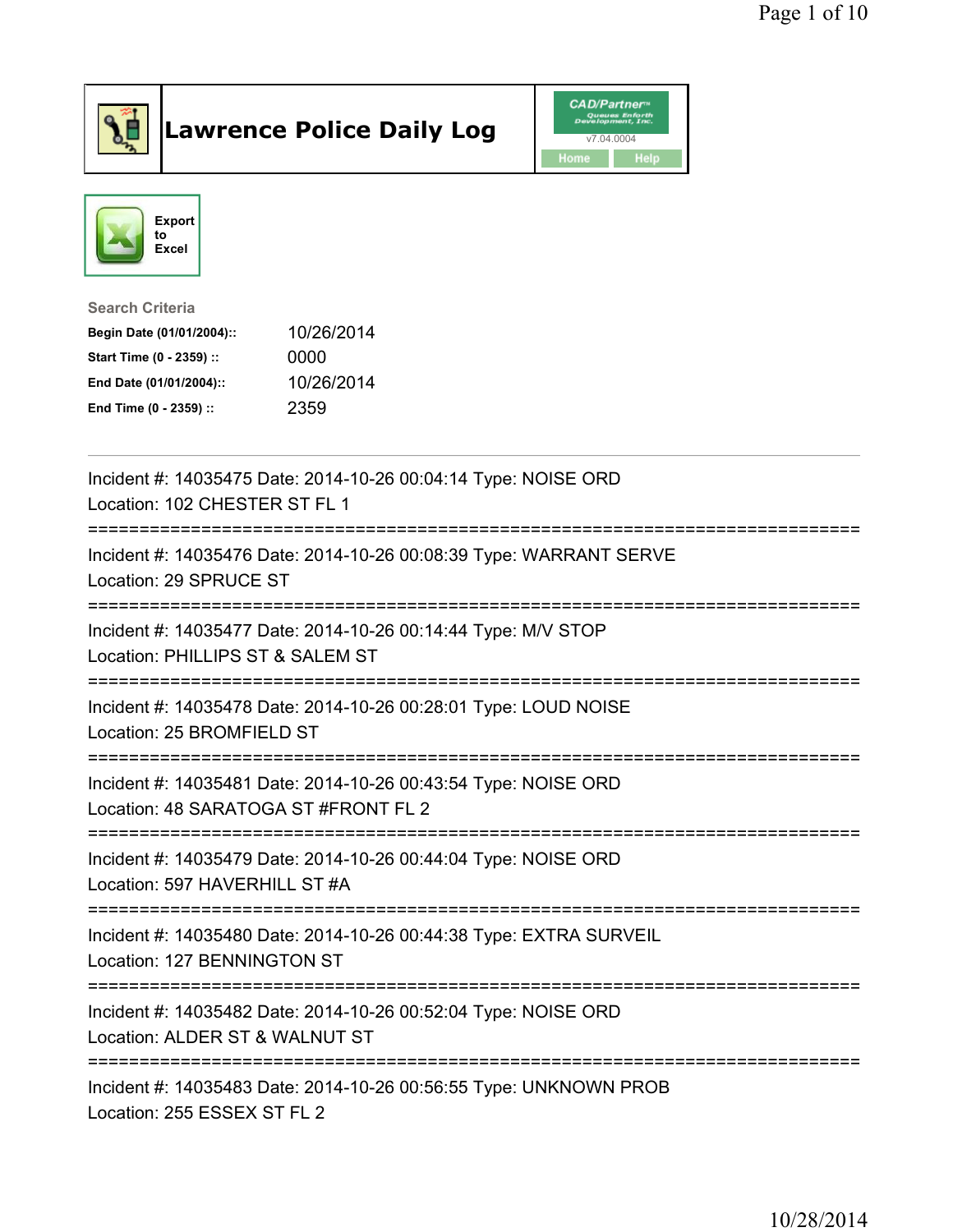

## Lawrence Police Daily Log **Daniel CAD/Partner**





## Search Criteria Begin Date (01/01/2004):: 10/26/2014 Start Time (0 - 2359) :: 0000 End Date (01/01/2004):: 10/26/2014 End Time (0 - 2359) :: 2359

| Incident #: 14035475 Date: 2014-10-26 00:04:14 Type: NOISE ORD<br>Location: 102 CHESTER ST FL 1<br>----------------------                                  |
|------------------------------------------------------------------------------------------------------------------------------------------------------------|
| Incident #: 14035476 Date: 2014-10-26 00:08:39 Type: WARRANT SERVE<br>Location: 29 SPRUCE ST                                                               |
| Incident #: 14035477 Date: 2014-10-26 00:14:44 Type: M/V STOP<br>Location: PHILLIPS ST & SALEM ST                                                          |
| Incident #: 14035478 Date: 2014-10-26 00:28:01 Type: LOUD NOISE<br>Location: 25 BROMFIELD ST                                                               |
| Incident #: 14035481 Date: 2014-10-26 00:43:54 Type: NOISE ORD<br>Location: 48 SARATOGA ST #FRONT FL 2<br>.-----------------------------<br>-------------- |
| Incident #: 14035479 Date: 2014-10-26 00:44:04 Type: NOISE ORD<br>Location: 597 HAVERHILL ST #A<br>--------------------                                    |
| Incident #: 14035480 Date: 2014-10-26 00:44:38 Type: EXTRA SURVEIL<br>Location: 127 BENNINGTON ST                                                          |
| Incident #: 14035482 Date: 2014-10-26 00:52:04 Type: NOISE ORD<br>Location: ALDER ST & WALNUT ST                                                           |
| Incident #: 14035483 Date: 2014-10-26 00:56:55 Type: UNKNOWN PROB<br>Location: 255 ESSEX ST FL 2                                                           |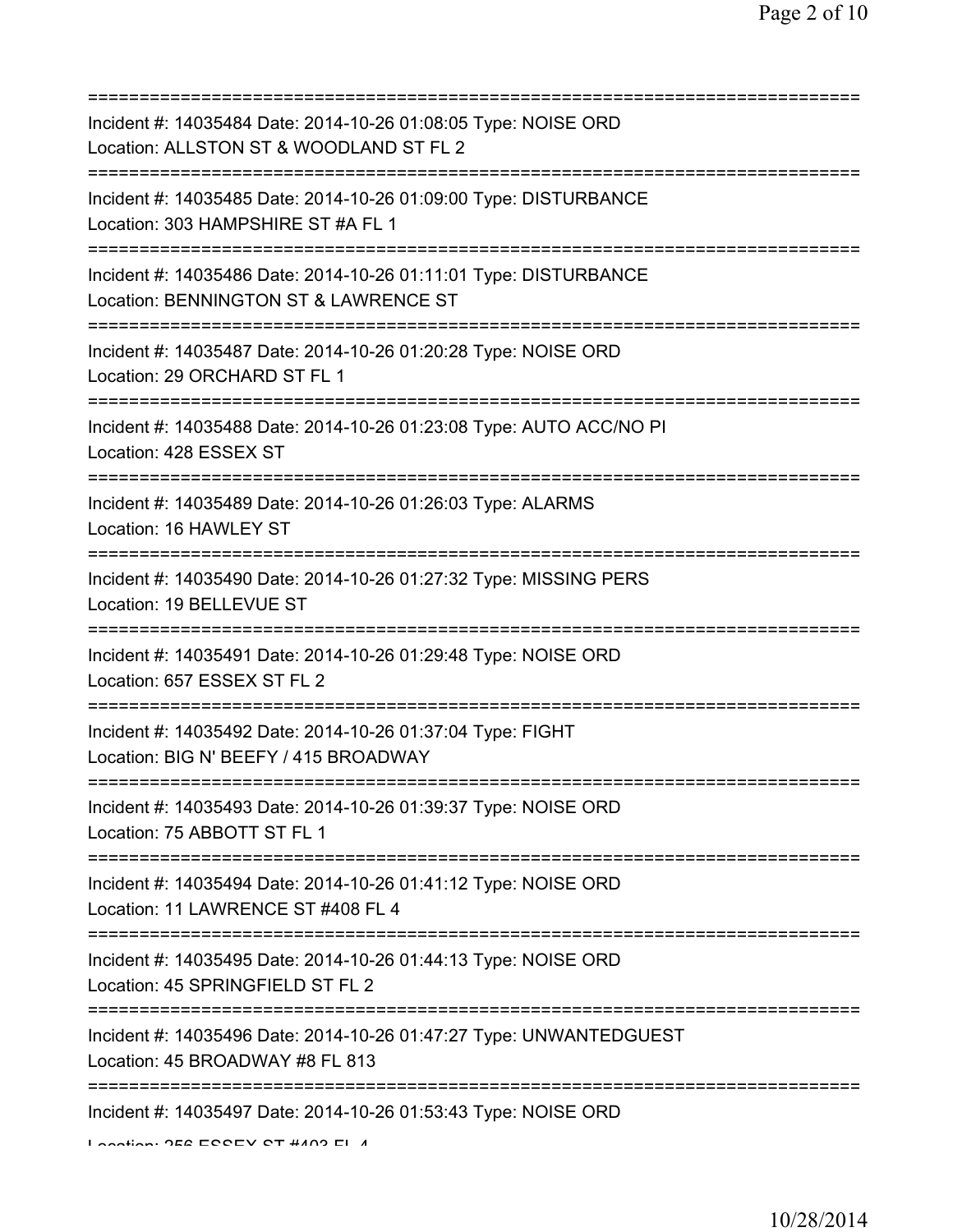| Incident #: 14035484 Date: 2014-10-26 01:08:05 Type: NOISE ORD<br>Location: ALLSTON ST & WOODLAND ST FL 2<br>============================                       |
|-----------------------------------------------------------------------------------------------------------------------------------------------------------------|
| Incident #: 14035485 Date: 2014-10-26 01:09:00 Type: DISTURBANCE<br>Location: 303 HAMPSHIRE ST #A FL 1                                                          |
| Incident #: 14035486 Date: 2014-10-26 01:11:01 Type: DISTURBANCE<br>Location: BENNINGTON ST & LAWRENCE ST<br>==========================                         |
| Incident #: 14035487 Date: 2014-10-26 01:20:28 Type: NOISE ORD<br>Location: 29 ORCHARD ST FL 1                                                                  |
| Incident #: 14035488 Date: 2014-10-26 01:23:08 Type: AUTO ACC/NO PI<br>Location: 428 ESSEX ST                                                                   |
| ===================================<br>Incident #: 14035489 Date: 2014-10-26 01:26:03 Type: ALARMS<br>Location: 16 HAWLEY ST<br>=============================== |
| Incident #: 14035490 Date: 2014-10-26 01:27:32 Type: MISSING PERS<br>Location: 19 BELLEVUE ST                                                                   |
| ==========================<br>Incident #: 14035491 Date: 2014-10-26 01:29:48 Type: NOISE ORD<br>Location: 657 ESSEX ST FL 2                                     |
| Incident #: 14035492 Date: 2014-10-26 01:37:04 Type: FIGHT<br>Location: BIG N' BEEFY / 415 BROADWAY                                                             |
| Incident #: 14035493 Date: 2014-10-26 01:39:37 Type: NOISE ORD<br>Location: 75 ABBOTT ST FL 1                                                                   |
| Incident #: 14035494 Date: 2014-10-26 01:41:12 Type: NOISE ORD<br>Location: 11 LAWRENCE ST #408 FL 4                                                            |
| Incident #: 14035495 Date: 2014-10-26 01:44:13 Type: NOISE ORD<br>Location: 45 SPRINGFIELD ST FL 2                                                              |
| Incident #: 14035496 Date: 2014-10-26 01:47:27 Type: UNWANTEDGUEST<br>Location: 45 BROADWAY #8 FL 813                                                           |
| Incident #: 14035497 Date: 2014-10-26 01:53:43 Type: NOISE ORD<br>Lootion OEC ECCEV CT #400 EL 4                                                                |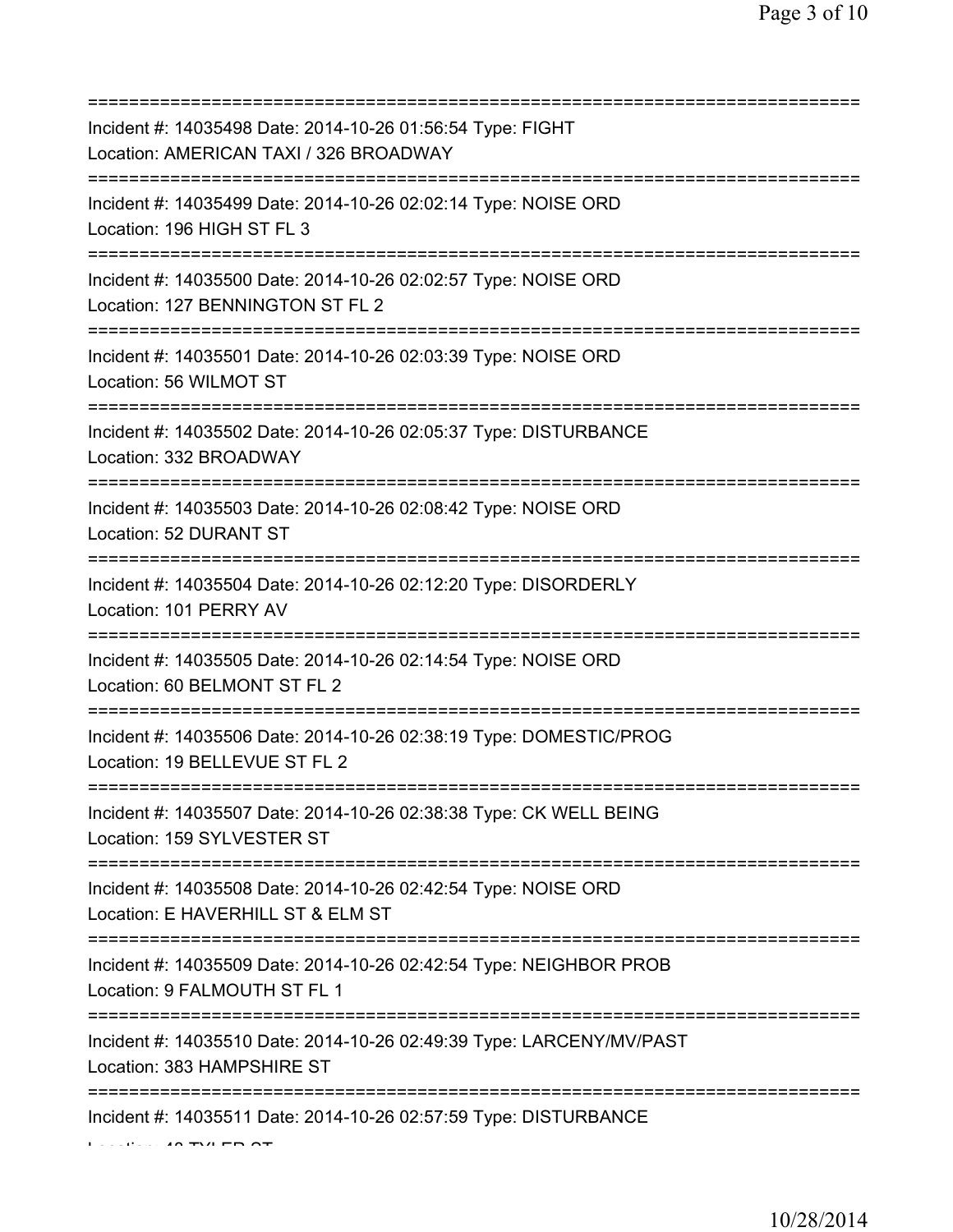| Incident #: 14035498 Date: 2014-10-26 01:56:54 Type: FIGHT<br>Location: AMERICAN TAXI / 326 BROADWAY<br>========================== |
|------------------------------------------------------------------------------------------------------------------------------------|
| Incident #: 14035499 Date: 2014-10-26 02:02:14 Type: NOISE ORD<br>Location: 196 HIGH ST FL 3                                       |
| Incident #: 14035500 Date: 2014-10-26 02:02:57 Type: NOISE ORD<br>Location: 127 BENNINGTON ST FL 2                                 |
| Incident #: 14035501 Date: 2014-10-26 02:03:39 Type: NOISE ORD<br>Location: 56 WILMOT ST<br>====================================   |
| Incident #: 14035502 Date: 2014-10-26 02:05:37 Type: DISTURBANCE<br>Location: 332 BROADWAY<br>=========================            |
| Incident #: 14035503 Date: 2014-10-26 02:08:42 Type: NOISE ORD<br>Location: 52 DURANT ST                                           |
| Incident #: 14035504 Date: 2014-10-26 02:12:20 Type: DISORDERLY<br>Location: 101 PERRY AV<br>;==========================           |
| Incident #: 14035505 Date: 2014-10-26 02:14:54 Type: NOISE ORD<br>Location: 60 BELMONT ST FL 2                                     |
| Incident #: 14035506 Date: 2014-10-26 02:38:19 Type: DOMESTIC/PROG<br>Location: 19 BELLEVUE ST FL 2                                |
| Incident #: 14035507 Date: 2014-10-26 02:38:38 Type: CK WELL BEING<br>Location: 159 SYLVESTER ST                                   |
| Incident #: 14035508 Date: 2014-10-26 02:42:54 Type: NOISE ORD<br>Location: E HAVERHILL ST & ELM ST                                |
| Incident #: 14035509 Date: 2014-10-26 02:42:54 Type: NEIGHBOR PROB<br>Location: 9 FALMOUTH ST FL 1                                 |
| Incident #: 14035510 Date: 2014-10-26 02:49:39 Type: LARCENY/MV/PAST<br>Location: 383 HAMPSHIRE ST                                 |
| =======<br>Incident #: 14035511 Date: 2014-10-26 02:57:59 Type: DISTURBANCE                                                        |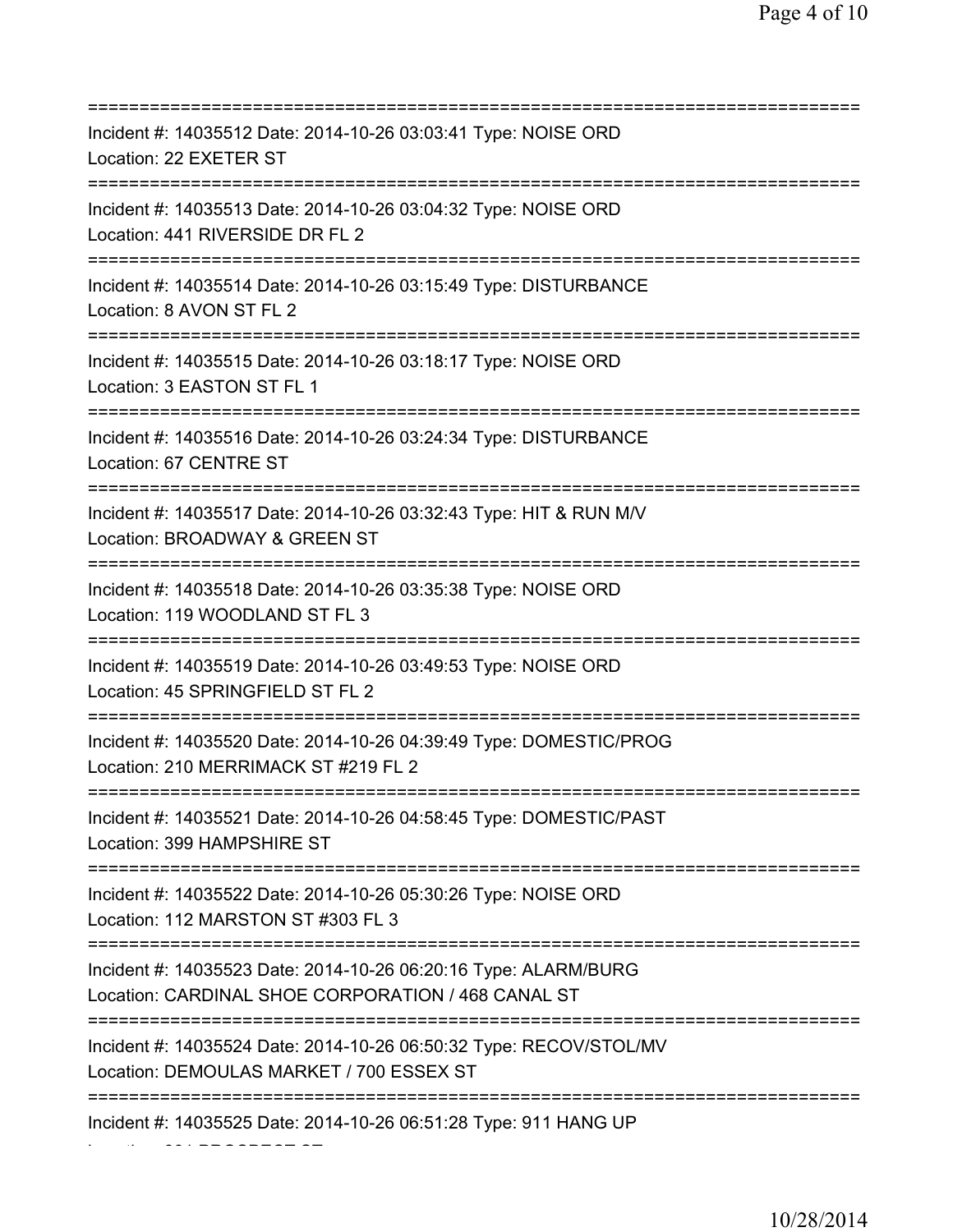=========================================================================== Incident #: 14035512 Date: 2014-10-26 03:03:41 Type: NOISE ORD Location: 22 EXETER ST =========================================================================== Incident #: 14035513 Date: 2014-10-26 03:04:32 Type: NOISE ORD Location: 441 RIVERSIDE DR FL 2 =========================================================================== Incident #: 14035514 Date: 2014-10-26 03:15:49 Type: DISTURBANCE Location: 8 AVON ST FL 2 =========================================================================== Incident #: 14035515 Date: 2014-10-26 03:18:17 Type: NOISE ORD Location: 3 EASTON ST FL 1 =========================================================================== Incident #: 14035516 Date: 2014-10-26 03:24:34 Type: DISTURBANCE Location: 67 CENTRE ST =========================================================================== Incident #: 14035517 Date: 2014-10-26 03:32:43 Type: HIT & RUN M/V Location: BROADWAY & GREEN ST =========================================================================== Incident #: 14035518 Date: 2014-10-26 03:35:38 Type: NOISE ORD Location: 119 WOODLAND ST FL 3 =========================================================================== Incident #: 14035519 Date: 2014-10-26 03:49:53 Type: NOISE ORD Location: 45 SPRINGFIELD ST FL 2 =========================================================================== Incident #: 14035520 Date: 2014-10-26 04:39:49 Type: DOMESTIC/PROG Location: 210 MERRIMACK ST #219 FL 2 =========================================================================== Incident #: 14035521 Date: 2014-10-26 04:58:45 Type: DOMESTIC/PAST Location: 399 HAMPSHIRE ST =========================================================================== Incident #: 14035522 Date: 2014-10-26 05:30:26 Type: NOISE ORD Location: 112 MARSTON ST #303 FL 3 =========================================================================== Incident #: 14035523 Date: 2014-10-26 06:20:16 Type: ALARM/BURG Location: CARDINAL SHOE CORPORATION / 468 CANAL ST =========================================================================== Incident #: 14035524 Date: 2014-10-26 06:50:32 Type: RECOV/STOL/MV Location: DEMOULAS MARKET / 700 ESSEX ST =========================================================================== Incident #: 14035525 Date: 2014-10-26 06:51:28 Type: 911 HANG UP

Location: 331 PROSPECT ST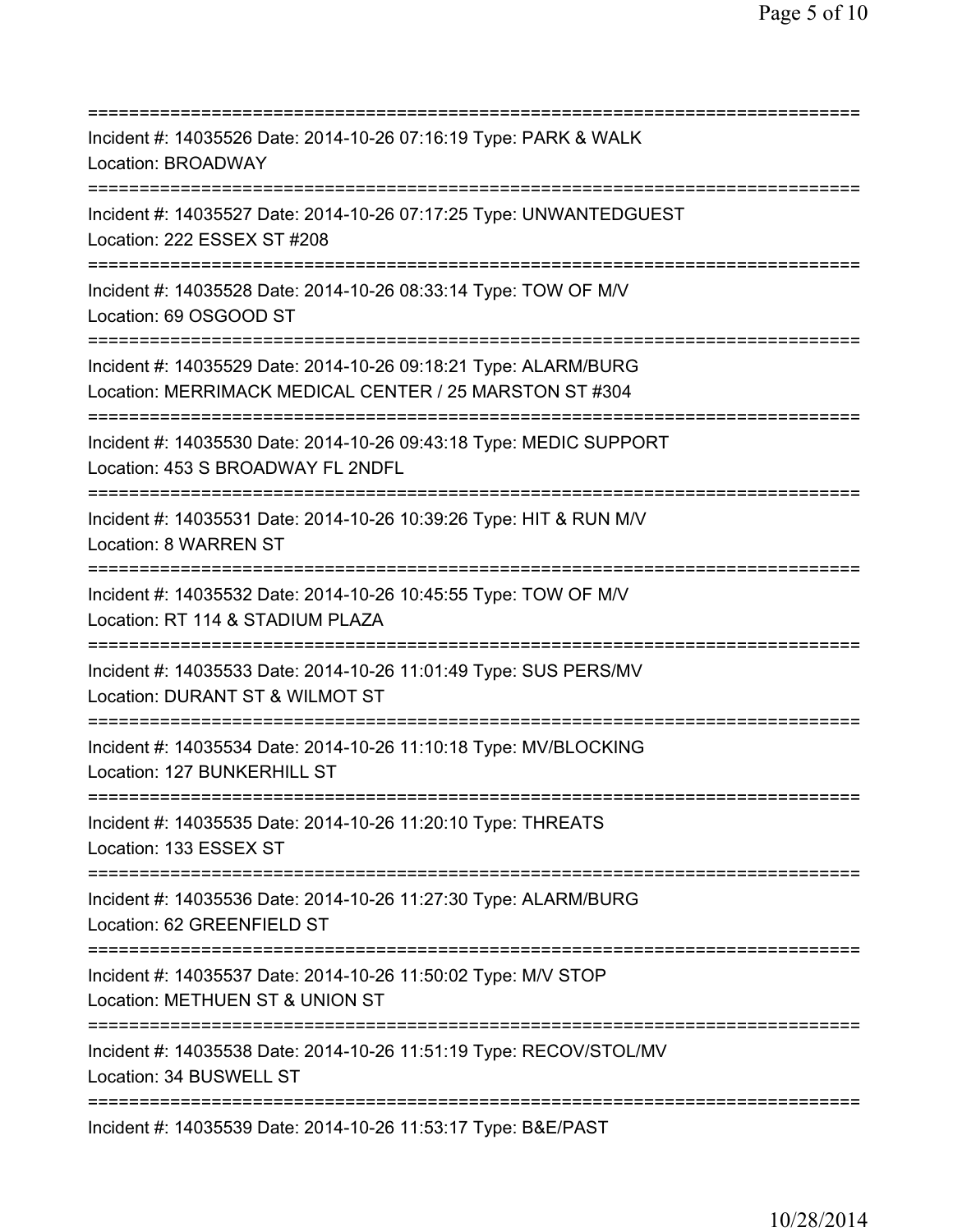| Incident #: 14035526 Date: 2014-10-26 07:16:19 Type: PARK & WALK<br>Location: BROADWAY                                                           |
|--------------------------------------------------------------------------------------------------------------------------------------------------|
| Incident #: 14035527 Date: 2014-10-26 07:17:25 Type: UNWANTEDGUEST<br>Location: 222 ESSEX ST #208                                                |
| Incident #: 14035528 Date: 2014-10-26 08:33:14 Type: TOW OF M/V<br>Location: 69 OSGOOD ST                                                        |
| Incident #: 14035529 Date: 2014-10-26 09:18:21 Type: ALARM/BURG<br>Location: MERRIMACK MEDICAL CENTER / 25 MARSTON ST #304                       |
| Incident #: 14035530 Date: 2014-10-26 09:43:18 Type: MEDIC SUPPORT<br>Location: 453 S BROADWAY FL 2NDFL                                          |
| Incident #: 14035531 Date: 2014-10-26 10:39:26 Type: HIT & RUN M/V<br>Location: 8 WARREN ST<br>================================                  |
| Incident #: 14035532 Date: 2014-10-26 10:45:55 Type: TOW OF M/V<br>Location: RT 114 & STADIUM PLAZA<br>====================<br>================= |
| Incident #: 14035533 Date: 2014-10-26 11:01:49 Type: SUS PERS/MV<br>Location: DURANT ST & WILMOT ST                                              |
| Incident #: 14035534 Date: 2014-10-26 11:10:18 Type: MV/BLOCKING<br>Location: 127 BUNKERHILL ST                                                  |
| Incident #: 14035535 Date: 2014-10-26 11:20:10 Type: THREATS<br>Location: 133 ESSEX ST                                                           |
| Incident #: 14035536 Date: 2014-10-26 11:27:30 Type: ALARM/BURG<br>Location: 62 GREENFIELD ST                                                    |
| Incident #: 14035537 Date: 2014-10-26 11:50:02 Type: M/V STOP<br>Location: METHUEN ST & UNION ST                                                 |
| =================<br>Incident #: 14035538 Date: 2014-10-26 11:51:19 Type: RECOV/STOL/MV<br>Location: 34 BUSWELL ST                               |
| Incident #: 14035539 Date: 2014-10-26 11:53:17 Type: B&E/PAST                                                                                    |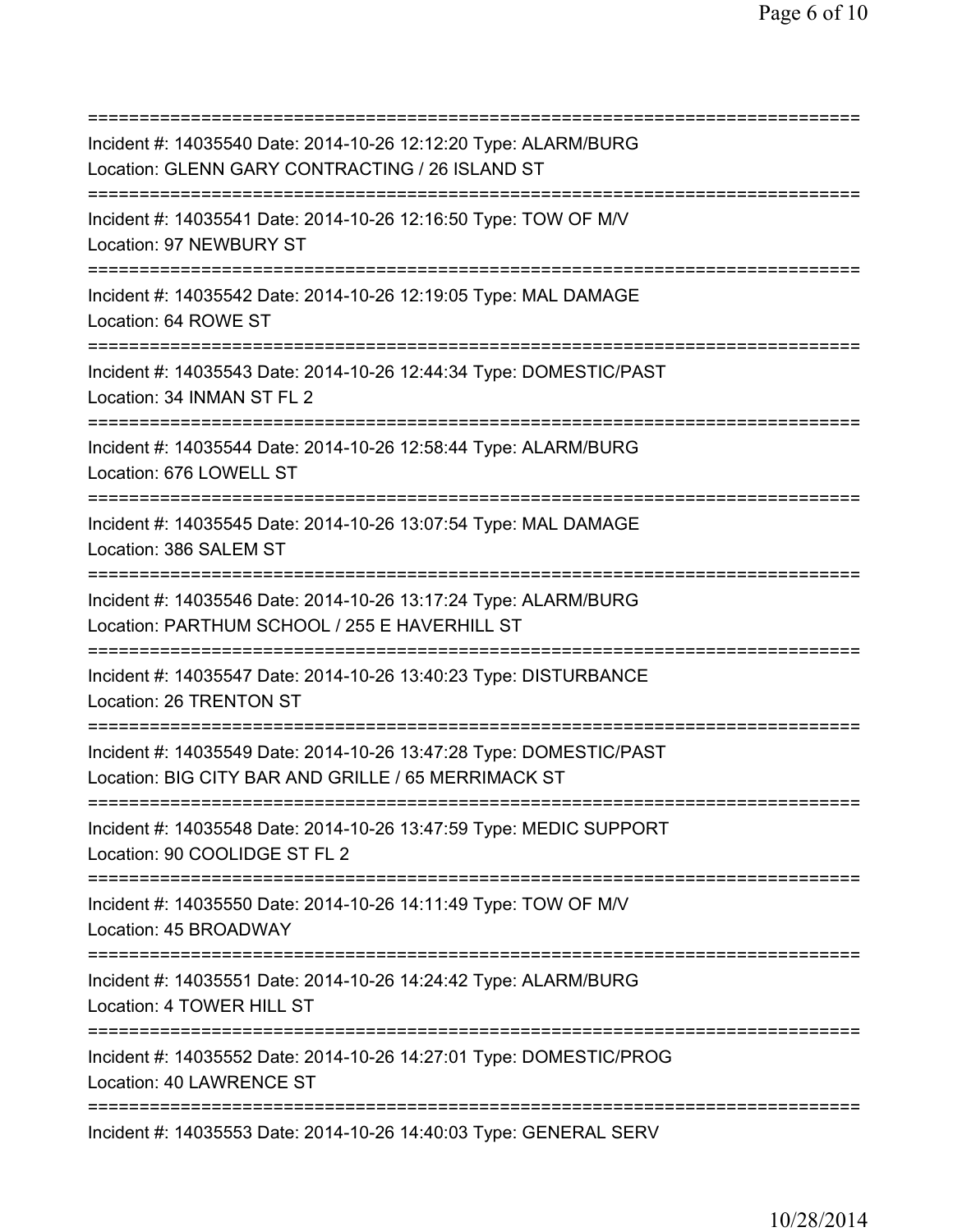=========================================================================== Incident #: 14035540 Date: 2014-10-26 12:12:20 Type: ALARM/BURG Location: GLENN GARY CONTRACTING / 26 ISLAND ST =========================================================================== Incident #: 14035541 Date: 2014-10-26 12:16:50 Type: TOW OF M/V Location: 97 NEWBURY ST =========================================================================== Incident #: 14035542 Date: 2014-10-26 12:19:05 Type: MAL DAMAGE Location: 64 ROWE ST =========================================================================== Incident #: 14035543 Date: 2014-10-26 12:44:34 Type: DOMESTIC/PAST Location: 34 INMAN ST FL 2 =========================================================================== Incident #: 14035544 Date: 2014-10-26 12:58:44 Type: ALARM/BURG Location: 676 LOWELL ST =========================================================================== Incident #: 14035545 Date: 2014-10-26 13:07:54 Type: MAL DAMAGE Location: 386 SALEM ST =========================================================================== Incident #: 14035546 Date: 2014-10-26 13:17:24 Type: ALARM/BURG Location: PARTHUM SCHOOL / 255 E HAVERHILL ST =========================================================================== Incident #: 14035547 Date: 2014-10-26 13:40:23 Type: DISTURBANCE Location: 26 TRENTON ST =========================================================================== Incident #: 14035549 Date: 2014-10-26 13:47:28 Type: DOMESTIC/PAST Location: BIG CITY BAR AND GRILLE / 65 MERRIMACK ST =========================================================================== Incident #: 14035548 Date: 2014-10-26 13:47:59 Type: MEDIC SUPPORT Location: 90 COOLIDGE ST FL 2 =========================================================================== Incident #: 14035550 Date: 2014-10-26 14:11:49 Type: TOW OF M/V Location: 45 BROADWAY =========================================================================== Incident #: 14035551 Date: 2014-10-26 14:24:42 Type: ALARM/BURG Location: 4 TOWER HILL ST =========================================================================== Incident #: 14035552 Date: 2014-10-26 14:27:01 Type: DOMESTIC/PROG Location: 40 LAWRENCE ST =========================================================================== Incident #: 14035553 Date: 2014-10-26 14:40:03 Type: GENERAL SERV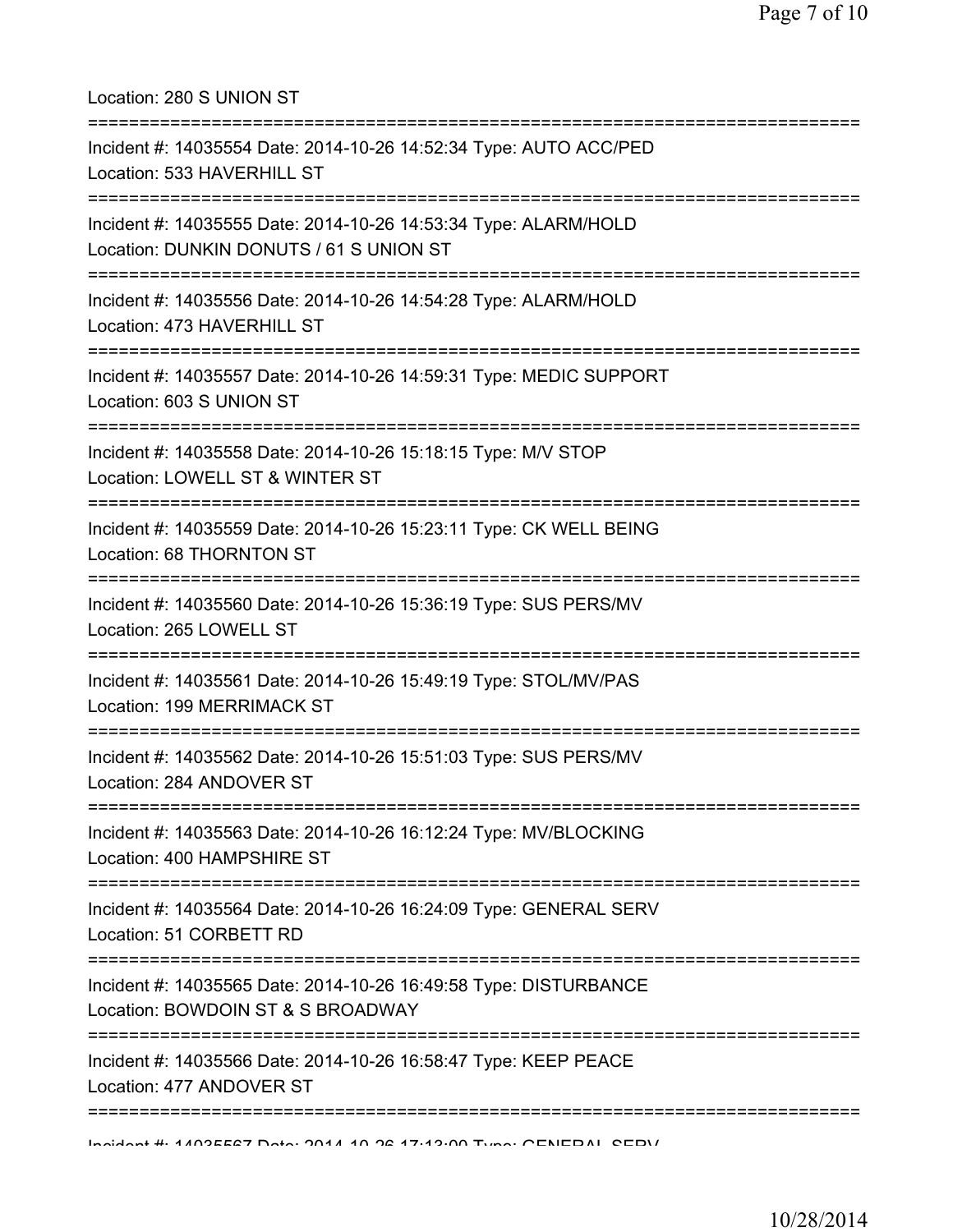| Location: 280 S UNION ST                                                                                                                                             |
|----------------------------------------------------------------------------------------------------------------------------------------------------------------------|
| Incident #: 14035554 Date: 2014-10-26 14:52:34 Type: AUTO ACC/PED<br>Location: 533 HAVERHILL ST                                                                      |
| Incident #: 14035555 Date: 2014-10-26 14:53:34 Type: ALARM/HOLD<br>Location: DUNKIN DONUTS / 61 S UNION ST                                                           |
| Incident #: 14035556 Date: 2014-10-26 14:54:28 Type: ALARM/HOLD<br>Location: 473 HAVERHILL ST<br>:====================================<br>--------================== |
| Incident #: 14035557 Date: 2014-10-26 14:59:31 Type: MEDIC SUPPORT<br>Location: 603 S UNION ST                                                                       |
| Incident #: 14035558 Date: 2014-10-26 15:18:15 Type: M/V STOP<br>Location: LOWELL ST & WINTER ST                                                                     |
| Incident #: 14035559 Date: 2014-10-26 15:23:11 Type: CK WELL BEING<br>Location: 68 THORNTON ST                                                                       |
| Incident #: 14035560 Date: 2014-10-26 15:36:19 Type: SUS PERS/MV<br>Location: 265 LOWELL ST                                                                          |
| Incident #: 14035561 Date: 2014-10-26 15:49:19 Type: STOL/MV/PAS<br>Location: 199 MERRIMACK ST                                                                       |
| ------------------------<br>Incident #: 14035562 Date: 2014-10-26 15:51:03 Type: SUS PERS/MV<br>Location: 284 ANDOVER ST                                             |
| Incident #: 14035563 Date: 2014-10-26 16:12:24 Type: MV/BLOCKING<br>Location: 400 HAMPSHIRE ST                                                                       |
| Incident #: 14035564 Date: 2014-10-26 16:24:09 Type: GENERAL SERV<br>Location: 51 CORBETT RD                                                                         |
| Incident #: 14035565 Date: 2014-10-26 16:49:58 Type: DISTURBANCE<br>Location: BOWDOIN ST & S BROADWAY                                                                |
| Incident #: 14035566 Date: 2014-10-26 16:58:47 Type: KEEP PEACE<br>Location: 477 ANDOVER ST                                                                          |
| Incident # 4409EE27 Deta: 2014 40 26 17:42:00 Tune: CENEDAL CEDV                                                                                                     |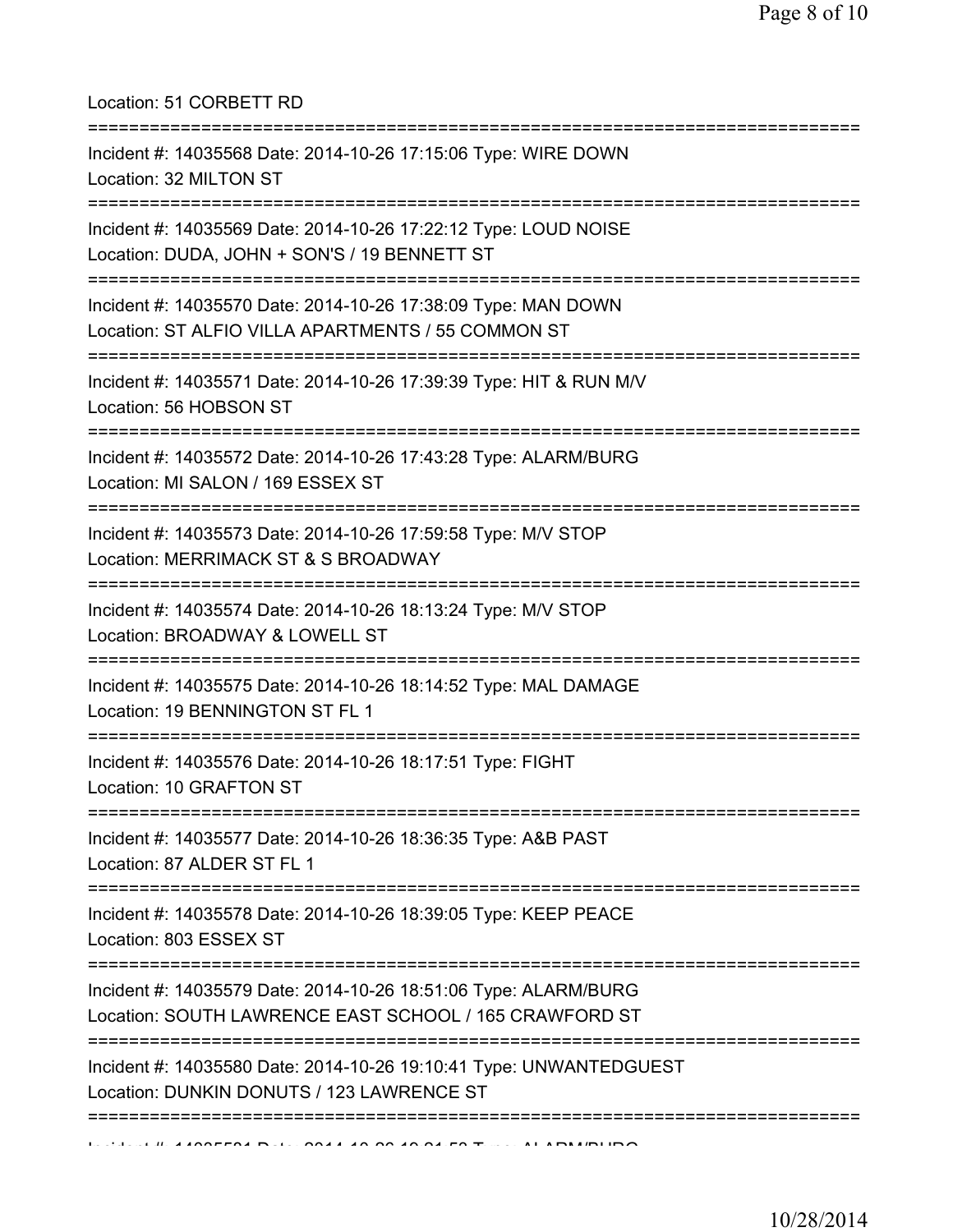## Location: 51 CORBETT RD

| Incident #: 14035568 Date: 2014-10-26 17:15:06 Type: WIRE DOWN<br>Location: 32 MILTON ST                                  |
|---------------------------------------------------------------------------------------------------------------------------|
| Incident #: 14035569 Date: 2014-10-26 17:22:12 Type: LOUD NOISE<br>Location: DUDA, JOHN + SON'S / 19 BENNETT ST           |
| Incident #: 14035570 Date: 2014-10-26 17:38:09 Type: MAN DOWN<br>Location: ST ALFIO VILLA APARTMENTS / 55 COMMON ST       |
| Incident #: 14035571 Date: 2014-10-26 17:39:39 Type: HIT & RUN M/V<br>Location: 56 HOBSON ST                              |
| Incident #: 14035572 Date: 2014-10-26 17:43:28 Type: ALARM/BURG<br>Location: MI SALON / 169 ESSEX ST                      |
| Incident #: 14035573 Date: 2014-10-26 17:59:58 Type: M/V STOP<br>Location: MERRIMACK ST & S BROADWAY                      |
| Incident #: 14035574 Date: 2014-10-26 18:13:24 Type: M/V STOP<br>Location: BROADWAY & LOWELL ST                           |
| Incident #: 14035575 Date: 2014-10-26 18:14:52 Type: MAL DAMAGE<br>Location: 19 BENNINGTON ST FL 1                        |
| ==============<br>Incident #: 14035576 Date: 2014-10-26 18:17:51 Type: FIGHT<br>Location: 10 GRAFTON ST                   |
| Incident #: 14035577 Date: 2014-10-26 18:36:35 Type: A&B PAST<br>Location: 87 ALDER ST FL 1                               |
| Incident #: 14035578 Date: 2014-10-26 18:39:05 Type: KEEP PEACE<br>Location: 803 ESSEX ST                                 |
| Incident #: 14035579 Date: 2014-10-26 18:51:06 Type: ALARM/BURG<br>Location: SOUTH LAWRENCE EAST SCHOOL / 165 CRAWFORD ST |
| Incident #: 14035580 Date: 2014-10-26 19:10:41 Type: UNWANTEDGUEST<br>Location: DUNKIN DONUTS / 123 LAWRENCE ST           |
|                                                                                                                           |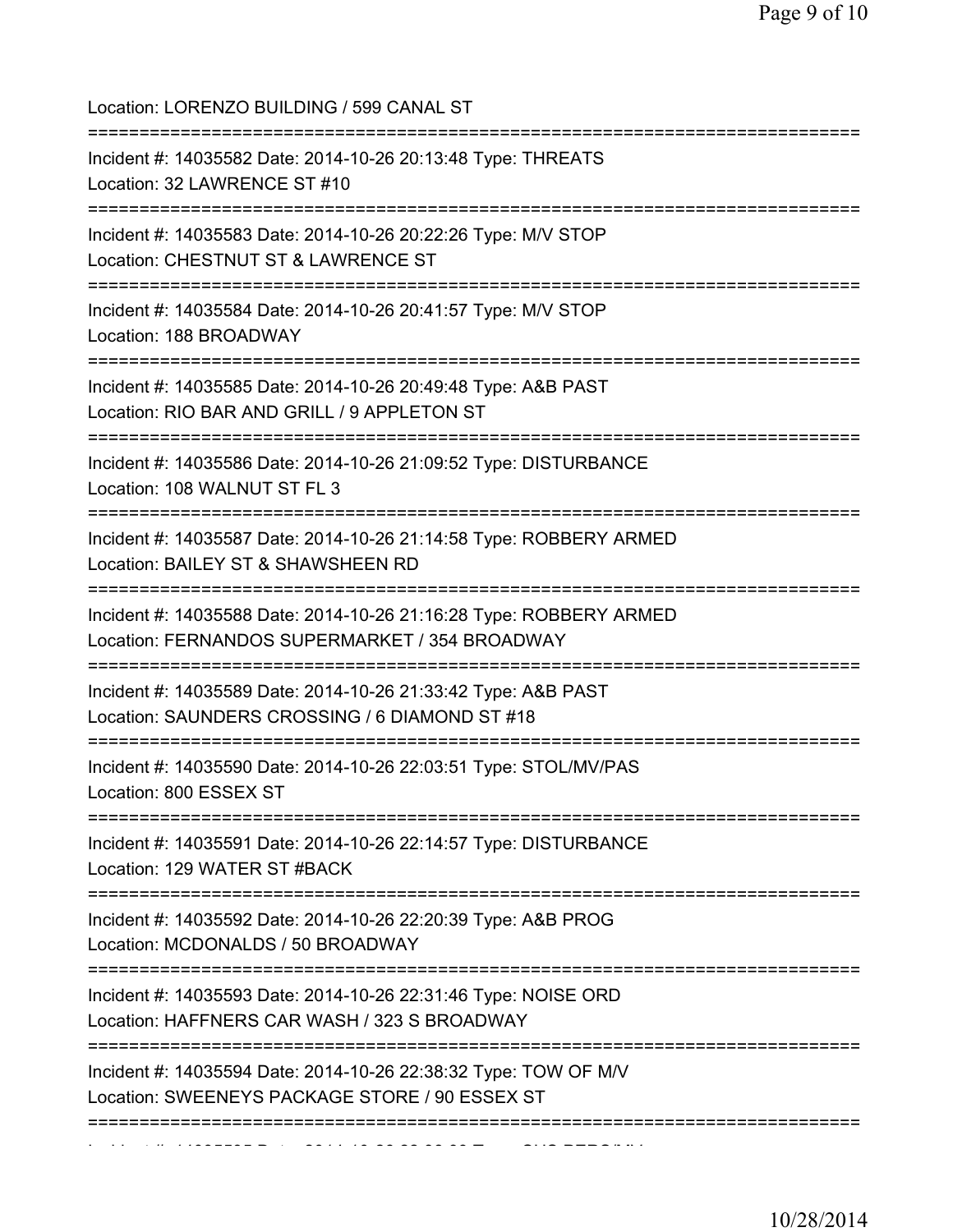Location: LORENZO BUILDING / 599 CANAL ST =========================================================================== Incident #: 14035582 Date: 2014-10-26 20:13:48 Type: THREATS Location: 32 LAWRENCE ST #10 =========================================================================== Incident #: 14035583 Date: 2014-10-26 20:22:26 Type: M/V STOP Location: CHESTNUT ST & LAWRENCE ST =========================================================================== Incident #: 14035584 Date: 2014-10-26 20:41:57 Type: M/V STOP Location: 188 BROADWAY =========================================================================== Incident #: 14035585 Date: 2014-10-26 20:49:48 Type: A&B PAST Location: RIO BAR AND GRILL / 9 APPLETON ST =========================================================================== Incident #: 14035586 Date: 2014-10-26 21:09:52 Type: DISTURBANCE Location: 108 WALNUT ST FL 3 =========================================================================== Incident #: 14035587 Date: 2014-10-26 21:14:58 Type: ROBBERY ARMED Location: BAILEY ST & SHAWSHEEN RD =========================================================================== Incident #: 14035588 Date: 2014-10-26 21:16:28 Type: ROBBERY ARMED Location: FERNANDOS SUPERMARKET / 354 BROADWAY =========================================================================== Incident #: 14035589 Date: 2014-10-26 21:33:42 Type: A&B PAST Location: SAUNDERS CROSSING / 6 DIAMOND ST #18 =========================================================================== Incident #: 14035590 Date: 2014-10-26 22:03:51 Type: STOL/MV/PAS Location: 800 ESSEX ST =========================================================================== Incident #: 14035591 Date: 2014-10-26 22:14:57 Type: DISTURBANCE Location: 129 WATER ST #BACK =========================================================================== Incident #: 14035592 Date: 2014-10-26 22:20:39 Type: A&B PROG Location: MCDONALDS / 50 BROADWAY =========================================================================== Incident #: 14035593 Date: 2014-10-26 22:31:46 Type: NOISE ORD Location: HAFFNERS CAR WASH / 323 S BROADWAY =========================================================================== Incident #: 14035594 Date: 2014-10-26 22:38:32 Type: TOW OF M/V Location: SWEENEYS PACKAGE STORE / 90 ESSEX ST =========================================================================== Incident #: 14035595 Date: 2014 10 26 22:38:33 Type: SUS PERS/MV